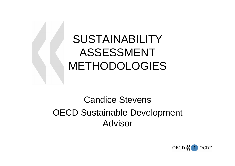# SUSTAINABILITY ASSESSMENT METHODOLOGIES

## Candice Stevens OECD Sustainable Development Advisor

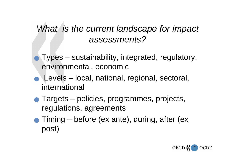#### *What is the current landscape for impact assessments?*

- <sup>Q</sup> Types sustainability, integrated, regulatory, environmental, economic
- <sup>Q</sup> Levels local, national, regional, sectoral, international
- Targets policies, programmes, projects, regulations, agreements
- Timing before (ex ante), during, after (ex post)

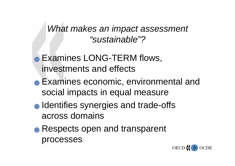*What makes an impact assessment "sustainable"?*

- **Examines LONG-TERM flows,** investments and effects
- **Examines economic, environmental and** social impacts in equal measure
- **O** Identifies synergies and trade-offs across domains
- **Respects open and transparent** processes

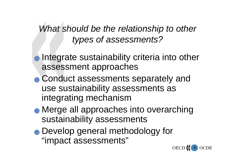## *What should be the relationship to other types of assessments?*

- Integrate sustainability criteria into other assessment approaches
- **Conduct assessments separately and** use sustainability assessments as integrating mechanism
- <sup>Q</sup> Merge all approaches into overarching sustainability assessments
- **Develop general methodology for** "impact assessments"

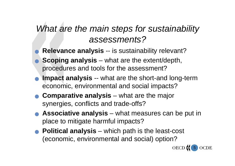#### *What are the main steps for sustainability assessments?*

- Relevance analysis -- is sustainability relevant?
- **Scoping analysis** what are the extent/depth, procedures and tools for the assessment?
- **Impact analysis** -- what are the short-and long-term economic, environmental and social impacts?
- **Comparative analysis** what are the major synergies, conflicts and trade-offs?
- **Associative analysis** what measures can be put in place to mitigate harmful impacts?
- <sup>Q</sup> **Political analysis** which path is the least-cost (economic, environmental and social) option?

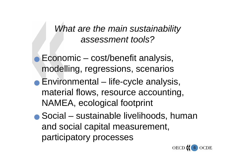*What are the main sustainability assessment tools?* 

- Economic cost/benefit analysis, modelling, regressions, scenarios
- Environmental life-cycle analysis, material flows, resource accounting, NAMEA, ecological footprint
- <sup>Q</sup> Social sustainable livelihoods, human and social capital measurement, participatory processes

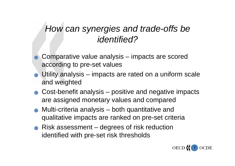#### *How can synergies and trade-offs be identified?*

- <sup>Q</sup> Comparative value analysis impacts are scored according to pre-set values
- $\bullet$  Utility analysis impacts are rated on a uniform scale and weighted
- $\bullet$  Cost-benefit analysis positive and negative impacts are assigned monetary values and compared
- Multi-criteria analysis both quantitative and qualitative impacts are ranked on pre-set criteria
- Risk assessment degrees of risk reduction identified with pre-set risk thresholds

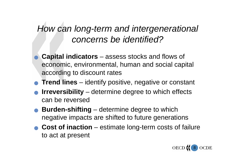### *How can long-term and intergenerational concerns be identified?*

- <sup>Q</sup> **Capital indicators** assess stocks and flows of economic, environmental, human and social capital according to discount rates
- **Trend lines** identify positive, negative or constant
- **Irreversibility** determine degree to which effects can be reversed
- **Burden-shifting** determine degree to which negative impacts are shifted to future generations
- <sup>Q</sup> **Cost of inaction** estimate long-term costs of failure to act at present

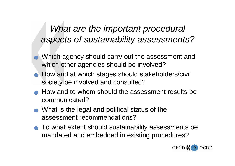### *What are the important procedural aspects of sustainability assessments?*

- <sup>Q</sup> Which agency should carry out the assessment and which other agencies should be involved?
- **How and at which stages should stakeholders/civil** society be involved and consulted?
- How and to whom should the assessment results be communicated?
- $\bullet$  What is the legal and political status of the assessment recommendations?
- <sup>Q</sup> To what extent should sustainability assessments be mandated and embedded in existing procedures?

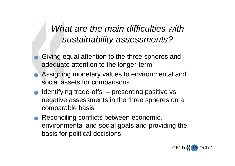### *What are the main difficulties with sustainability assessments?*

- Giving equal attention to the three spheres and adequate attention to the longer-term
- **Assigning monetary values to environmental and** social assets for comparisons
- Identifying trade-offs presenting positive vs. negative assessments in the three spheres on a comparable basis
- Reconciling conflicts between economic, environmental and social goals and providing the basis for political decisions